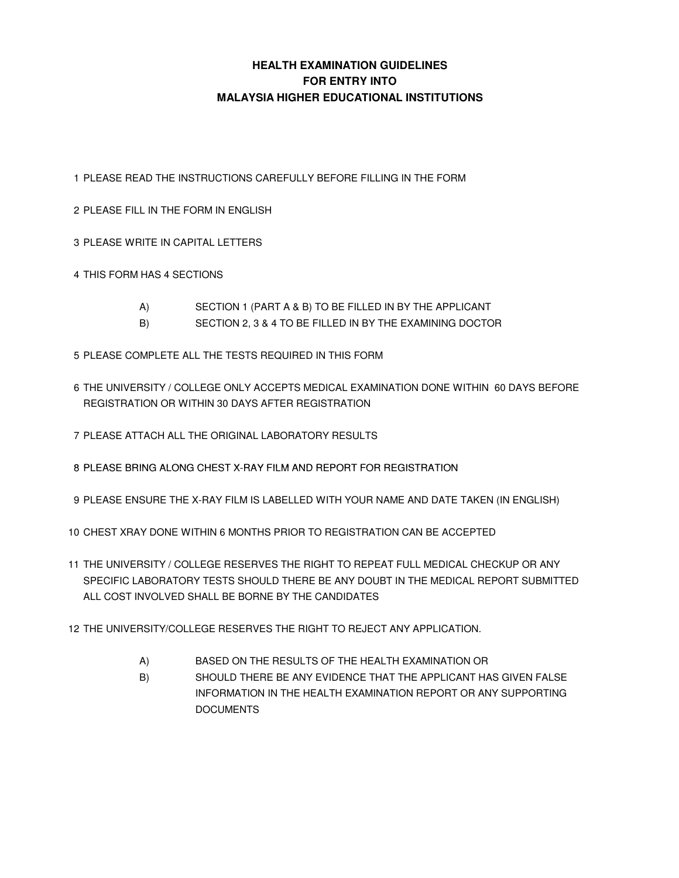#### **HEALTH EXAMINATION GUIDELINES FOR ENTRY INTO MALAYSIA HIGHER EDUCATIONAL INSTITUTIONS**

1 PLEASE READ THE INSTRUCTIONS CAREFULLY BEFORE FILLING IN THE FORM

- 2 PLEASE FILL IN THE FORM IN ENGLISH
- 3 PLEASE WRITE IN CAPITAL LETTERS
- 4 THIS FORM HAS 4 SECTIONS
	- A) SECTION 1 (PART A & B) TO BE FILLED IN BY THE APPLICANT
	- B) SECTION 2, 3 & 4 TO BE FILLED IN BY THE EXAMINING DOCTOR
- 5 PLEASE COMPLETE ALL THE TESTS REQUIRED IN THIS FORM
- 6 THE UNIVERSITY / COLLEGE ONLY ACCEPTS MEDICAL EXAMINATION DONE WITHIN 60 DAYS BEFORE REGISTRATION OR WITHIN 30 DAYS AFTER REGISTRATION
- 7 PLEASE ATTACH ALL THE ORIGINAL LABORATORY RESULTS
- 8 PLEASE BRING ALONG CHEST X-RAY FILM AND REPORT FOR REGISTRATION
- 9 PLEASE ENSURE THE X-RAY FILM IS LABELLED WITH YOUR NAME AND DATE TAKEN (IN ENGLISH)
- 10 CHEST XRAY DONE WITHIN 6 MONTHS PRIOR TO REGISTRATION CAN BE ACCEPTED
- 11 THE UNIVERSITY / COLLEGE RESERVES THE RIGHT TO REPEAT FULL MEDICAL CHECKUP OR ANY SPECIFIC LABORATORY TESTS SHOULD THERE BE ANY DOUBT IN THE MEDICAL REPORT SUBMITTED ALL COST INVOLVED SHALL BE BORNE BY THE CANDIDATES
- 12 THE UNIVERSITY/COLLEGE RESERVES THE RIGHT TO REJECT ANY APPLICATION.
	- A) BASED ON THE RESULTS OF THE HEALTH EXAMINATION OR
	- B) SHOULD THERE BE ANY EVIDENCE THAT THE APPLICANT HAS GIVEN FALSE INFORMATION IN THE HEALTH EXAMINATION REPORT OR ANY SUPPORTING **DOCUMENTS**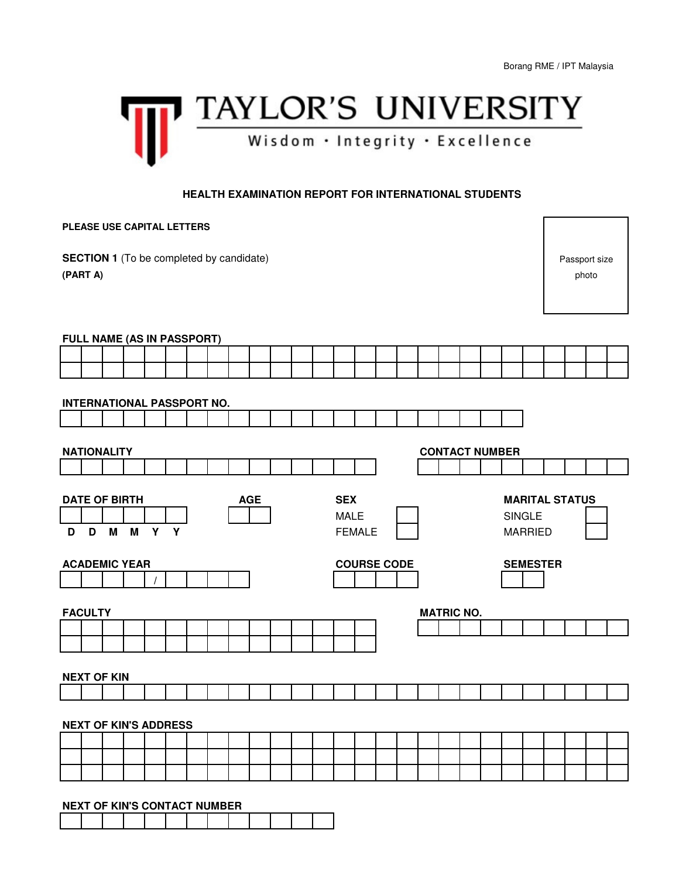

#### **HEALTH EXAMINATION REPORT FOR INTERNATIONAL STUDENTS**

| PLEASE USE CAPITAL LETTERS |                                                             |   |   |     |  |  |  |            |       |               |                           |                    |  |  |                       |  |                                        |  |  |  |
|----------------------------|-------------------------------------------------------------|---|---|-----|--|--|--|------------|-------|---------------|---------------------------|--------------------|--|--|-----------------------|--|----------------------------------------|--|--|--|
|                            | <b>SECTION 1</b> (To be completed by candidate)<br>(PART A) |   |   |     |  |  |  |            | photo | Passport size |                           |                    |  |  |                       |  |                                        |  |  |  |
|                            | FULL NAME (AS IN PASSPORT)                                  |   |   |     |  |  |  |            |       |               |                           |                    |  |  |                       |  |                                        |  |  |  |
|                            |                                                             |   |   |     |  |  |  |            |       |               |                           |                    |  |  |                       |  |                                        |  |  |  |
|                            | <b>INTERNATIONAL PASSPORT NO.</b>                           |   |   |     |  |  |  |            |       |               |                           |                    |  |  |                       |  |                                        |  |  |  |
|                            |                                                             |   |   |     |  |  |  |            |       |               |                           |                    |  |  |                       |  |                                        |  |  |  |
|                            | <b>NATIONALITY</b>                                          |   |   |     |  |  |  |            |       |               |                           |                    |  |  | <b>CONTACT NUMBER</b> |  |                                        |  |  |  |
|                            |                                                             |   |   |     |  |  |  |            |       |               |                           |                    |  |  |                       |  |                                        |  |  |  |
|                            | <b>DATE OF BIRTH</b>                                        |   |   |     |  |  |  | <b>AGE</b> |       |               | <b>SEX</b><br><b>MALE</b> |                    |  |  |                       |  | <b>MARITAL STATUS</b><br><b>SINGLE</b> |  |  |  |
| D                          | D                                                           | M | M | Y Y |  |  |  |            |       |               |                           | <b>FEMALE</b>      |  |  |                       |  | <b>MARRIED</b>                         |  |  |  |
|                            | <b>ACADEMIC YEAR</b>                                        |   |   |     |  |  |  |            |       |               |                           | <b>COURSE CODE</b> |  |  |                       |  | <b>SEMESTER</b>                        |  |  |  |
|                            |                                                             |   |   |     |  |  |  |            |       |               |                           |                    |  |  |                       |  |                                        |  |  |  |
|                            | <b>FACULTY</b>                                              |   |   |     |  |  |  |            |       |               |                           |                    |  |  | <b>MATRIC NO.</b>     |  |                                        |  |  |  |
|                            |                                                             |   |   |     |  |  |  |            |       |               |                           |                    |  |  |                       |  |                                        |  |  |  |
|                            | <b>NEXT OF KIN</b>                                          |   |   |     |  |  |  |            |       |               |                           |                    |  |  |                       |  |                                        |  |  |  |
|                            |                                                             |   |   |     |  |  |  |            |       |               |                           |                    |  |  |                       |  |                                        |  |  |  |
|                            | <b>NEXT OF KIN'S ADDRESS</b>                                |   |   |     |  |  |  |            |       |               |                           |                    |  |  |                       |  |                                        |  |  |  |
|                            |                                                             |   |   |     |  |  |  |            |       |               |                           |                    |  |  |                       |  |                                        |  |  |  |
|                            |                                                             |   |   |     |  |  |  |            |       |               |                           |                    |  |  |                       |  |                                        |  |  |  |
|                            |                                                             |   |   |     |  |  |  |            |       |               |                           |                    |  |  |                       |  |                                        |  |  |  |
|                            | <b>NEXT OF KIN'S CONTACT NUMBER</b>                         |   |   |     |  |  |  |            |       |               |                           |                    |  |  |                       |  |                                        |  |  |  |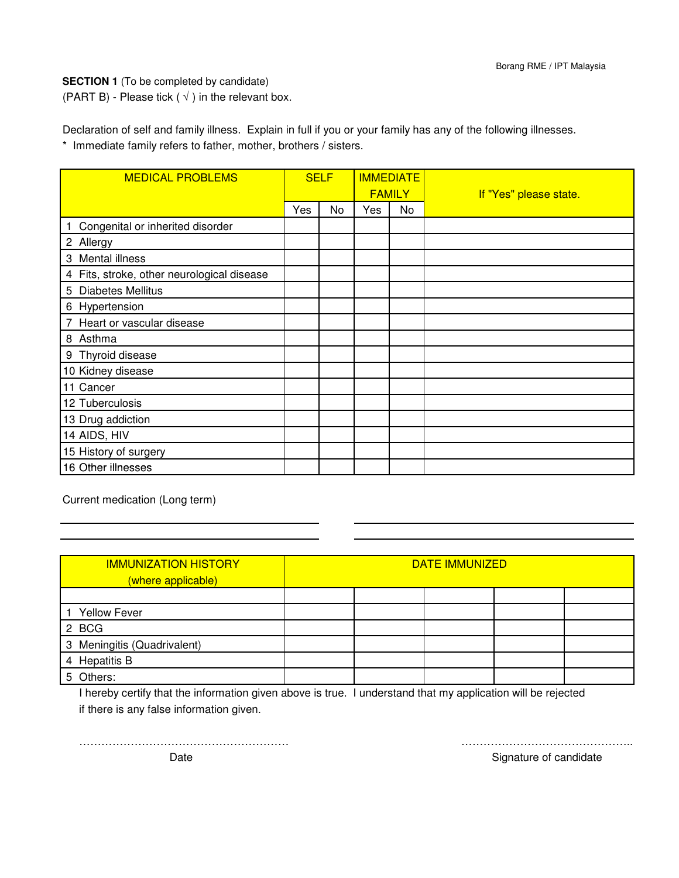**SECTION 1** (To be completed by candidate)

(PART B) - Please tick ( $\sqrt{}$ ) in the relevant box.

Declaration of self and family illness. Explain in full if you or your family has any of the following illnesses. \* Immediate family refers to father, mother, brothers / sisters.

| <b>MEDICAL PROBLEMS</b>                    | <b>SELF</b> |    | <b>IMMEDIATE</b><br><b>FAMILY</b> |    | If "Yes" please state. |  |
|--------------------------------------------|-------------|----|-----------------------------------|----|------------------------|--|
|                                            | Yes         | No | Yes                               | No |                        |  |
| Congenital or inherited disorder           |             |    |                                   |    |                        |  |
| 2 Allergy                                  |             |    |                                   |    |                        |  |
| 3 Mental illness                           |             |    |                                   |    |                        |  |
| 4 Fits, stroke, other neurological disease |             |    |                                   |    |                        |  |
| 5 Diabetes Mellitus                        |             |    |                                   |    |                        |  |
| 6 Hypertension                             |             |    |                                   |    |                        |  |
| 7 Heart or vascular disease                |             |    |                                   |    |                        |  |
| 8 Asthma                                   |             |    |                                   |    |                        |  |
| 9 Thyroid disease                          |             |    |                                   |    |                        |  |
| 10 Kidney disease                          |             |    |                                   |    |                        |  |
| 11 Cancer                                  |             |    |                                   |    |                        |  |
| 12 Tuberculosis                            |             |    |                                   |    |                        |  |
| 13 Drug addiction                          |             |    |                                   |    |                        |  |
| 14 AIDS, HIV                               |             |    |                                   |    |                        |  |
| 15 History of surgery                      |             |    |                                   |    |                        |  |
| 16 Other illnesses                         |             |    |                                   |    |                        |  |

Current medication (Long term)

| <b>IMMUNIZATION HISTORY</b><br>(where applicable) | DATE IMMUNIZED |  |  |  |  |  |  |
|---------------------------------------------------|----------------|--|--|--|--|--|--|
|                                                   |                |  |  |  |  |  |  |
| <b>Yellow Fever</b>                               |                |  |  |  |  |  |  |
| 2 BCG                                             |                |  |  |  |  |  |  |
| 3 Meningitis (Quadrivalent)                       |                |  |  |  |  |  |  |
| 4 Hepatitis B                                     |                |  |  |  |  |  |  |
| 5 Others:                                         |                |  |  |  |  |  |  |

I hereby certify that the information given above is true. I understand that my application will be rejected if there is any false information given.

………………………………………………… ………………………………………..

Signature of candidate

Date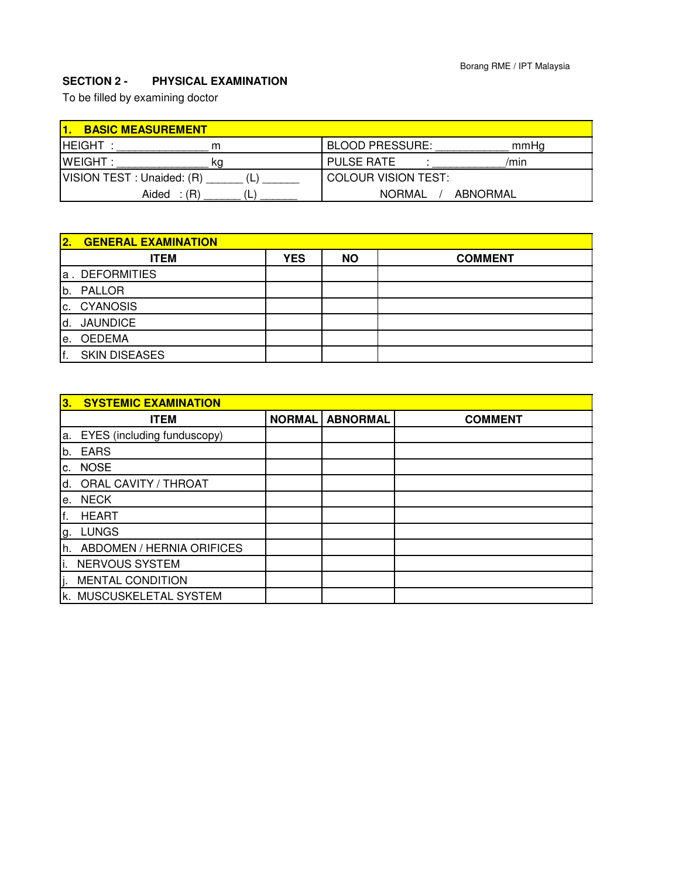# **SECTION 2 - PHYSICAL EXAMINATION**

To be filled by examining doctor

| <b>BASIC MEASUREMENT</b>   |    |                            |          |
|----------------------------|----|----------------------------|----------|
| <b>HEIGHT</b>              | m  | <b>BLOOD PRESSURE:</b>     | mmHa     |
| <b>WEIGHT:</b>             | κa | <b>PULSE RATE</b>          | /min     |
| VISION TEST : Unaided: (R) |    | <b>COLOUR VISION TEST:</b> |          |
| Aided<br>$\therefore$ (R)  |    | <b>NORMAL</b>              | ABNORMAL |

| $\overline{2}$ . | <b>GENERAL EXAMINATION</b> |            |           |                |
|------------------|----------------------------|------------|-----------|----------------|
|                  | <b>ITEM</b>                | <b>YES</b> | <b>NO</b> | <b>COMMENT</b> |
|                  | a. DEFORMITIES             |            |           |                |
| b.               | <b>PALLOR</b>              |            |           |                |
| C.               | <b>CYANOSIS</b>            |            |           |                |
| d.               | <b>JAUNDICE</b>            |            |           |                |
| le.              | <b>OEDEMA</b>              |            |           |                |
| f.               | <b>SKIN DISEASES</b>       |            |           |                |

| 3.             | <b>SYSTEMIC EXAMINATION</b> |               |                 |                |
|----------------|-----------------------------|---------------|-----------------|----------------|
|                | <b>ITEM</b>                 | <b>NORMAL</b> | <b>ABNORMAL</b> | <b>COMMENT</b> |
| a.             | EYES (including funduscopy) |               |                 |                |
| b.             | <b>EARS</b>                 |               |                 |                |
| $\mathsf{C}$ . | <b>NOSE</b>                 |               |                 |                |
| d.             | <b>ORAL CAVITY / THROAT</b> |               |                 |                |
| е.             | <b>NECK</b>                 |               |                 |                |
| lf.            | <b>HEART</b>                |               |                 |                |
| g.             | <b>LUNGS</b>                |               |                 |                |
| lh.            | ABDOMEN / HERNIA ORIFICES   |               |                 |                |
| li.            | NERVOUS SYSTEM              |               |                 |                |
| j.             | <b>MENTAL CONDITION</b>     |               |                 |                |
|                | k. MUSCUSKELETAL SYSTEM     |               |                 |                |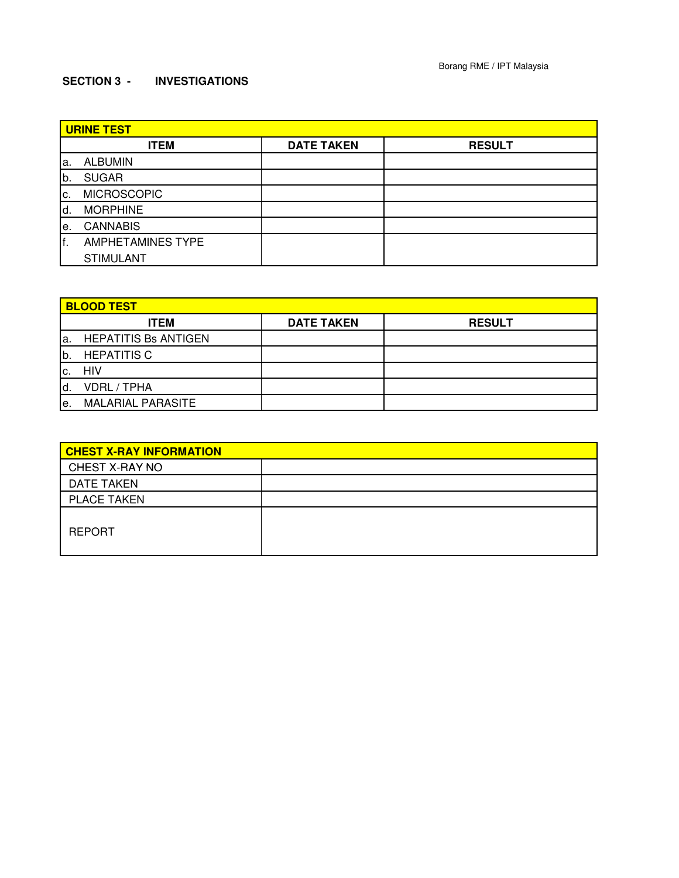## **SECTION 3 - INVESTIGATIONS**

|     | <b>URINE TEST</b>        |                   |               |  |  |  |  |  |
|-----|--------------------------|-------------------|---------------|--|--|--|--|--|
|     | <b>ITEM</b>              | <b>DATE TAKEN</b> | <b>RESULT</b> |  |  |  |  |  |
| la. | <b>ALBUMIN</b>           |                   |               |  |  |  |  |  |
| lb. | <b>SUGAR</b>             |                   |               |  |  |  |  |  |
| Ic. | <b>MICROSCOPIC</b>       |                   |               |  |  |  |  |  |
| ld. | <b>MORPHINE</b>          |                   |               |  |  |  |  |  |
| le. | <b>CANNABIS</b>          |                   |               |  |  |  |  |  |
| lf. | <b>AMPHETAMINES TYPE</b> |                   |               |  |  |  |  |  |
|     | <b>STIMULANT</b>         |                   |               |  |  |  |  |  |

|     | <b>BLOOD TEST</b>           |                   |               |  |  |  |  |  |  |
|-----|-----------------------------|-------------------|---------------|--|--|--|--|--|--|
|     | <b>ITEM</b>                 | <b>DATE TAKEN</b> | <b>RESULT</b> |  |  |  |  |  |  |
| a.  | <b>HEPATITIS Bs ANTIGEN</b> |                   |               |  |  |  |  |  |  |
| b.  | <b>HEPATITIS C</b>          |                   |               |  |  |  |  |  |  |
| IC. | HIV                         |                   |               |  |  |  |  |  |  |
| ld. | <b>VDRL / TPHA</b>          |                   |               |  |  |  |  |  |  |
| le. | <b>MALARIAL PARASITE</b>    |                   |               |  |  |  |  |  |  |

| <b>CHEST X-RAY INFORMATION</b> |  |
|--------------------------------|--|
| CHEST X-RAY NO                 |  |
| <b>DATE TAKEN</b>              |  |
| <b>PLACE TAKEN</b>             |  |
| <b>REPORT</b>                  |  |